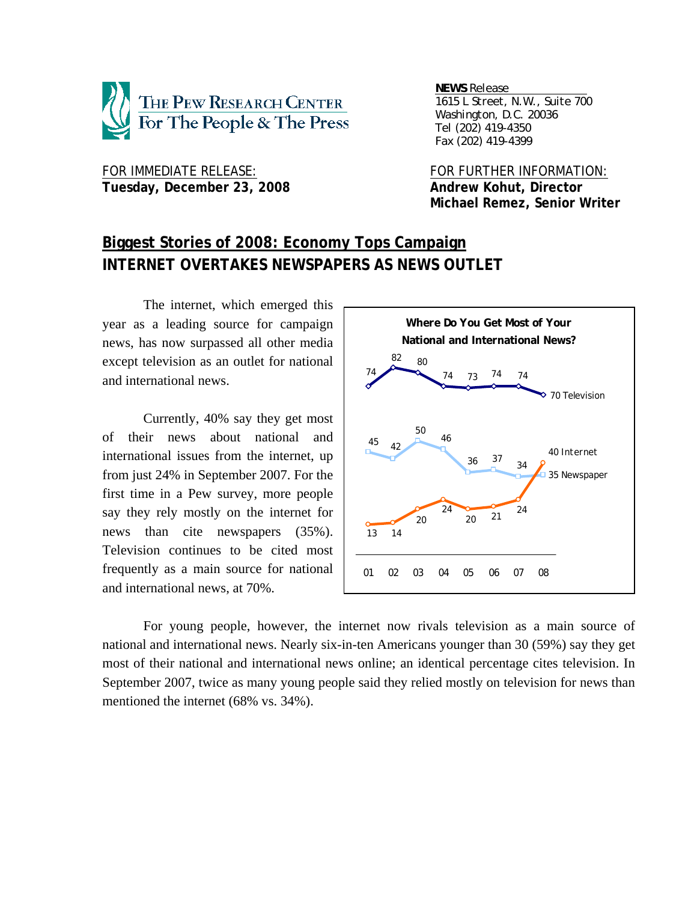

FOR IMMEDIATE RELEASE: FOR FURTHER INFORMATION: Tuesday, December 23, 2008 and a state of Andrew Kohut, Director

*NEWS Release . 1615 L Street, N.W., Suite 700 Washington, D.C. 20036 Tel (202) 419-4350 Fax (202) 419-4399*

 **Michael Remez, Senior Writer** 

# **Biggest Stories of 2008: Economy Tops Campaign INTERNET OVERTAKES NEWSPAPERS AS NEWS OUTLET**

The internet, which emerged this year as a leading source for campaign news, has now surpassed all other media except television as an outlet for national and international news.

Currently, 40% say they get most of their news about national and international issues from the internet, up from just 24% in September 2007. For the first time in a Pew survey, more people say they rely mostly on the internet for news than cite newspapers (35%). Television continues to be cited most frequently as a main source for national and international news, at 70%.



For young people, however, the internet now rivals television as a main source of national and international news. Nearly six-in-ten Americans younger than 30 (59%) say they get most of their national and international news online; an identical percentage cites television. In September 2007, twice as many young people said they relied mostly on television for news than mentioned the internet (68% vs. 34%).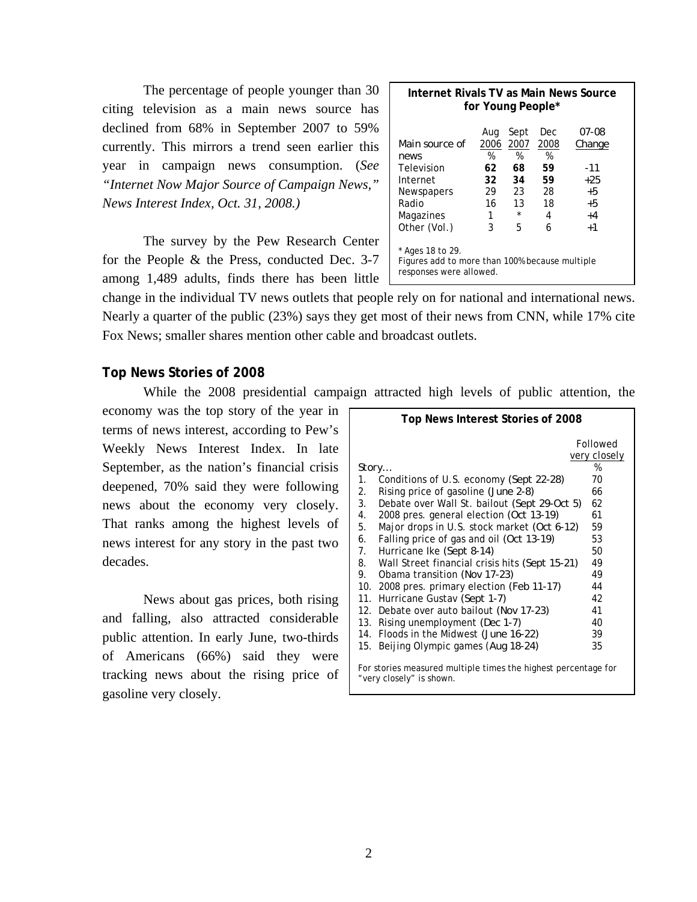The percentage of people younger than 30 citing television as a main news source has declined from 68% in September 2007 to 59% currently. This mirrors a trend seen earlier this year in campaign news consumption. (*See "Internet Now Major Source of Campaign News," News Interest Index, Oct. 31, 2008.)* 

The survey by the Pew Research Center for the People & the Press, conducted Dec. 3-7 among 1,489 adults, finds there has been little

| Internet Rivals TV as Main News Source<br>for Young People*                                                                                                                |                                                     |                                                           |                                                    |                                                                      |  |  |  |  |
|----------------------------------------------------------------------------------------------------------------------------------------------------------------------------|-----------------------------------------------------|-----------------------------------------------------------|----------------------------------------------------|----------------------------------------------------------------------|--|--|--|--|
| Main source of<br>news<br>Television<br>Internet<br>Newspapers<br>Radio<br>Magazines<br>Other (Vol.)<br>* Ages 18 to 29.<br>Figures add to more than 100% because multiple | Aug<br>2006<br>%<br>62<br>32.<br>29<br>16<br>1<br>3 | Sept<br>2007<br>%<br>68<br>34<br>23<br>13<br>$\star$<br>5 | Dec<br>2008<br>%<br>59<br>59<br>28<br>18<br>4<br>6 | <i>07-08</i><br>Change<br>-11<br>$+25$<br>$+5$<br>+5<br>$+4$<br>$+1$ |  |  |  |  |
| responses were allowed.                                                                                                                                                    |                                                     |                                                           |                                                    |                                                                      |  |  |  |  |

change in the individual TV news outlets that people rely on for national and international news. Nearly a quarter of the public (23%) says they get most of their news from CNN, while 17% cite Fox News; smaller shares mention other cable and broadcast outlets.

# **Top News Stories of 2008**

While the 2008 presidential campaign attracted high levels of public attention, the

economy was the top story of the year in terms of news interest, according to Pew's Weekly News Interest Index. In late September, as the nation's financial crisis deepened, 70% said they were following news about the economy very closely. That ranks among the highest levels of news interest for any story in the past two decades.

 News about gas prices, both rising and falling, also attracted considerable public attention. In early June, two-thirds of Americans (66%) said they were tracking news about the rising price of gasoline very closely.

|                                                                                            | Top News Interest Stories of 2008              |              |  |  |  |  |  |
|--------------------------------------------------------------------------------------------|------------------------------------------------|--------------|--|--|--|--|--|
|                                                                                            |                                                | Followed     |  |  |  |  |  |
|                                                                                            |                                                | very closely |  |  |  |  |  |
| Story                                                                                      |                                                | %            |  |  |  |  |  |
| 1.                                                                                         | Conditions of U.S. economy (Sept 22-28)        | 70           |  |  |  |  |  |
| 2.                                                                                         | Rising price of gasoline (June 2-8)            | 66           |  |  |  |  |  |
| 3.                                                                                         | Debate over Wall St. bailout (Sept 29-Oct 5)   | 62           |  |  |  |  |  |
| 4.                                                                                         | 2008 pres. general election (Oct 13-19)        | 61           |  |  |  |  |  |
| 5.                                                                                         | Major drops in U.S. stock market (Oct 6-12)    | 59           |  |  |  |  |  |
| 6.                                                                                         | Falling price of gas and oil (Oct 13-19)       | 53           |  |  |  |  |  |
| 7.                                                                                         | Hurricane Ike (Sept 8-14)                      | 50           |  |  |  |  |  |
| 8.                                                                                         | Wall Street financial crisis hits (Sept 15-21) | 49           |  |  |  |  |  |
| 9.                                                                                         | Obama transition (Nov 17-23)                   | 49           |  |  |  |  |  |
|                                                                                            | 10. 2008 pres. primary election (Feb 11-17)    | 44           |  |  |  |  |  |
|                                                                                            | 11. Hurricane Gustav (Sept 1-7)                | 42           |  |  |  |  |  |
|                                                                                            | 12. Debate over auto bailout (Nov 17-23)       | 41           |  |  |  |  |  |
|                                                                                            | 13. Rising unemployment (Dec 1-7)              | 40           |  |  |  |  |  |
|                                                                                            | 14. Floods in the Midwest (June 16-22)         | 39           |  |  |  |  |  |
| 15.                                                                                        | Beijing Olympic games (Aug 18-24)              | 35           |  |  |  |  |  |
| For stories measured multiple times the highest percentage for<br>"very closely" is shown. |                                                |              |  |  |  |  |  |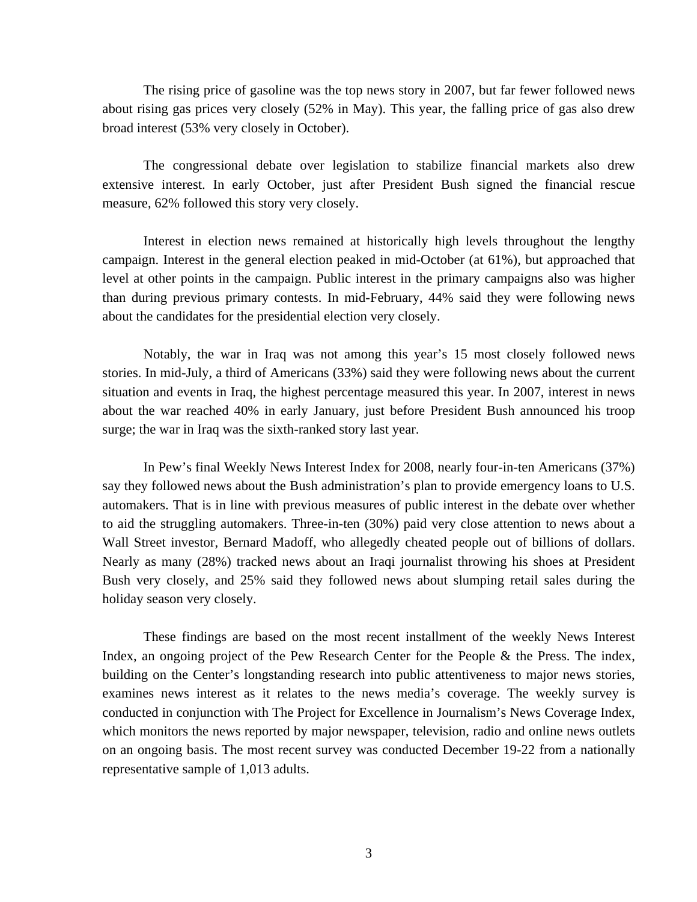The rising price of gasoline was the top news story in 2007, but far fewer followed news about rising gas prices very closely (52% in May). This year, the falling price of gas also drew broad interest (53% very closely in October).

 The congressional debate over legislation to stabilize financial markets also drew extensive interest. In early October, just after President Bush signed the financial rescue measure, 62% followed this story very closely.

 Interest in election news remained at historically high levels throughout the lengthy campaign. Interest in the general election peaked in mid-October (at 61%), but approached that level at other points in the campaign. Public interest in the primary campaigns also was higher than during previous primary contests. In mid-February, 44% said they were following news about the candidates for the presidential election very closely.

 Notably, the war in Iraq was not among this year's 15 most closely followed news stories. In mid-July, a third of Americans (33%) said they were following news about the current situation and events in Iraq, the highest percentage measured this year. In 2007, interest in news about the war reached 40% in early January, just before President Bush announced his troop surge; the war in Iraq was the sixth-ranked story last year.

In Pew's final Weekly News Interest Index for 2008, nearly four-in-ten Americans (37%) say they followed news about the Bush administration's plan to provide emergency loans to U.S. automakers. That is in line with previous measures of public interest in the debate over whether to aid the struggling automakers. Three-in-ten (30%) paid very close attention to news about a Wall Street investor, Bernard Madoff, who allegedly cheated people out of billions of dollars. Nearly as many (28%) tracked news about an Iraqi journalist throwing his shoes at President Bush very closely, and 25% said they followed news about slumping retail sales during the holiday season very closely.

These findings are based on the most recent installment of the weekly News Interest Index, an ongoing project of the Pew Research Center for the People & the Press. The index, building on the Center's longstanding research into public attentiveness to major news stories, examines news interest as it relates to the news media's coverage. The weekly survey is conducted in conjunction with The Project for Excellence in Journalism's News Coverage Index, which monitors the news reported by major newspaper, television, radio and online news outlets on an ongoing basis. The most recent survey was conducted December 19-22 from a nationally representative sample of 1,013 adults.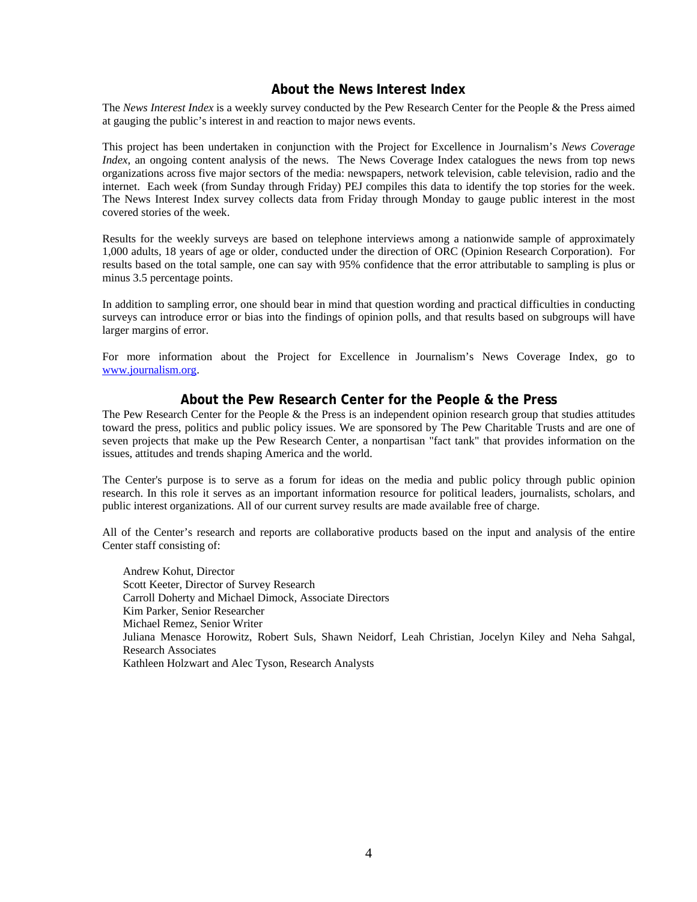# **About the News Interest Index**

The *News Interest Index* is a weekly survey conducted by the Pew Research Center for the People & the Press aimed at gauging the public's interest in and reaction to major news events.

This project has been undertaken in conjunction with the Project for Excellence in Journalism's *News Coverage Index*, an ongoing content analysis of the news. The News Coverage Index catalogues the news from top news organizations across five major sectors of the media: newspapers, network television, cable television, radio and the internet. Each week (from Sunday through Friday) PEJ compiles this data to identify the top stories for the week. The News Interest Index survey collects data from Friday through Monday to gauge public interest in the most covered stories of the week.

Results for the weekly surveys are based on telephone interviews among a nationwide sample of approximately 1,000 adults, 18 years of age or older, conducted under the direction of ORC (Opinion Research Corporation). For results based on the total sample, one can say with 95% confidence that the error attributable to sampling is plus or minus 3.5 percentage points.

In addition to sampling error, one should bear in mind that question wording and practical difficulties in conducting surveys can introduce error or bias into the findings of opinion polls, and that results based on subgroups will have larger margins of error.

For more information about the Project for Excellence in Journalism's News Coverage Index, go to www.journalism.org.

# **About the Pew Research Center for the People & the Press**

The Pew Research Center for the People  $\&$  the Press is an independent opinion research group that studies attitudes toward the press, politics and public policy issues. We are sponsored by The Pew Charitable Trusts and are one of seven projects that make up the Pew Research Center, a nonpartisan "fact tank" that provides information on the issues, attitudes and trends shaping America and the world.

The Center's purpose is to serve as a forum for ideas on the media and public policy through public opinion research. In this role it serves as an important information resource for political leaders, journalists, scholars, and public interest organizations. All of our current survey results are made available free of charge.

All of the Center's research and reports are collaborative products based on the input and analysis of the entire Center staff consisting of:

 Andrew Kohut, Director Scott Keeter, Director of Survey Research Carroll Doherty and Michael Dimock, Associate Directors Kim Parker, Senior Researcher Michael Remez, Senior Writer Juliana Menasce Horowitz, Robert Suls, Shawn Neidorf, Leah Christian, Jocelyn Kiley and Neha Sahgal, Research Associates Kathleen Holzwart and Alec Tyson, Research Analysts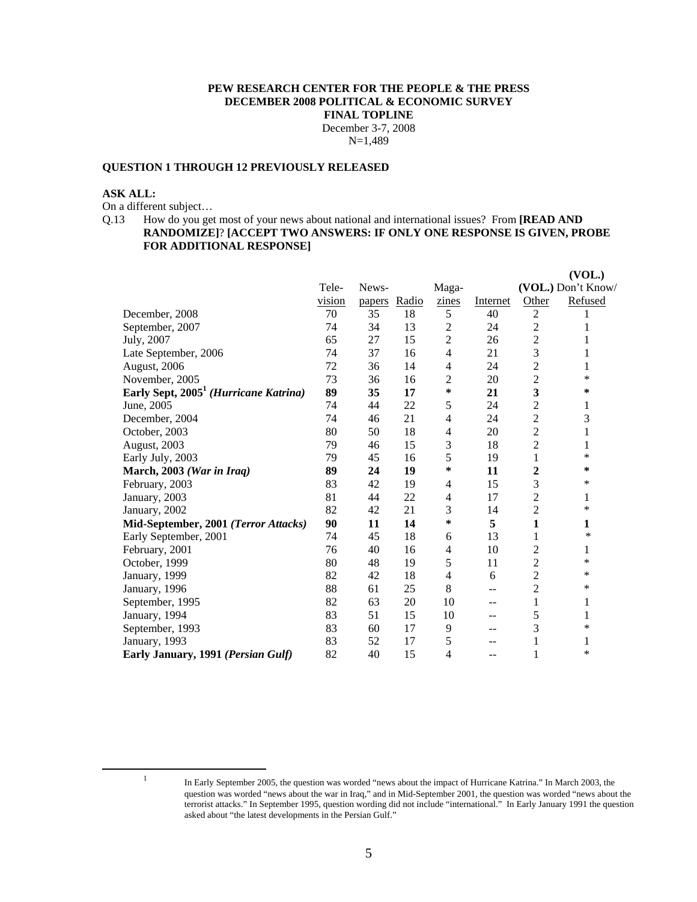## **PEW RESEARCH CENTER FOR THE PEOPLE & THE PRESS DECEMBER 2008 POLITICAL & ECONOMIC SURVEY FINAL TOPLINE**  December 3-7, 2008

N=1,489

## **QUESTION 1 THROUGH 12 PREVIOUSLY RELEASED**

#### **ASK ALL:**

On a different subject…

Q.13 How do you get most of your news about national and international issues? From **[READ AND RANDOMIZE]**? **[ACCEPT TWO ANSWERS: IF ONLY ONE RESPONSE IS GIVEN, PROBE FOR ADDITIONAL RESPONSE]**

|                                                   |        |        |       |                |          |                | (VOL.)             |
|---------------------------------------------------|--------|--------|-------|----------------|----------|----------------|--------------------|
|                                                   | Tele-  | News-  |       | Maga-          |          |                | (VOL.) Don't Know/ |
|                                                   | vision | papers | Radio | zines          | Internet | Other          | Refused            |
| December, 2008                                    | 70     | 35     | 18    | 5              | 40       | $\overline{2}$ |                    |
| September, 2007                                   | 74     | 34     | 13    | $\overline{c}$ | 24       | $\overline{c}$ | 1                  |
| July, 2007                                        | 65     | 27     | 15    | $\overline{c}$ | 26       | $\overline{c}$ | 1                  |
| Late September, 2006                              | 74     | 37     | 16    | $\overline{4}$ | 21       | 3              | 1                  |
| August, 2006                                      | 72     | 36     | 14    | 4              | 24       | $\overline{c}$ | 1                  |
| November, 2005                                    | 73     | 36     | 16    | 2              | 20       | $\overline{c}$ | *                  |
| Early Sept, 2005 <sup>1</sup> (Hurricane Katrina) | 89     | 35     | 17    | ∗              | 21       | 3              | ∗                  |
| June, 2005                                        | 74     | 44     | 22    | 5              | 24       | $\overline{c}$ | 1                  |
| December, 2004                                    | 74     | 46     | 21    | 4              | 24       | $\overline{c}$ | 3                  |
| October, 2003                                     | 80     | 50     | 18    | 4              | 20       | $\overline{c}$ | 1                  |
| August, 2003                                      | 79     | 46     | 15    | 3              | 18       | $\overline{c}$ | 1                  |
| Early July, 2003                                  | 79     | 45     | 16    | 5              | 19       | 1              | *                  |
| March, 2003 (War in Iraq)                         | 89     | 24     | 19    | ∗              | 11       | 2              | ∗                  |
| February, 2003                                    | 83     | 42     | 19    | 4              | 15       | 3              | *                  |
| January, 2003                                     | 81     | 44     | 22    | 4              | 17       | $\overline{c}$ | 1                  |
| January, 2002                                     | 82     | 42     | 21    | 3              | 14       | $\overline{c}$ | *                  |
| Mid-September, 2001 (Terror Attacks)              | 90     | 11     | 14    | ∗              | 5        | 1              | 1                  |
| Early September, 2001                             | 74     | 45     | 18    | 6              | 13       | 1              | ∗                  |
| February, 2001                                    | 76     | 40     | 16    | 4              | 10       | $\overline{c}$ | 1                  |
| October, 1999                                     | 80     | 48     | 19    | 5              | 11       | $\overline{c}$ | *                  |
| January, 1999                                     | 82     | 42     | 18    | 4              | 6        | $\overline{2}$ | *                  |
| January, 1996                                     | 88     | 61     | 25    | 8              | --       | $\overline{c}$ | ∗                  |
| September, 1995                                   | 82     | 63     | 20    | 10             | $-$      | 1              | 1                  |
| January, 1994                                     | 83     | 51     | 15    | 10             | --       | 5              | 1                  |
| September, 1993                                   | 83     | 60     | 17    | 9              | --       | 3              | *                  |
| January, 1993                                     | 83     | 52     | 17    | 5              | --       |                | 1                  |
| Early January, 1991 (Persian Gulf)                | 82     | 40     | 15    | 4              | $\sim$   | 1              | *                  |

 $\frac{1}{1}$ 

In Early September 2005, the question was worded "news about the impact of Hurricane Katrina." In March 2003, the question was worded "news about the war in Iraq," and in Mid-September 2001, the question was worded "news about the terrorist attacks." In September 1995, question wording did not include "international." In Early January 1991 the question asked about "the latest developments in the Persian Gulf."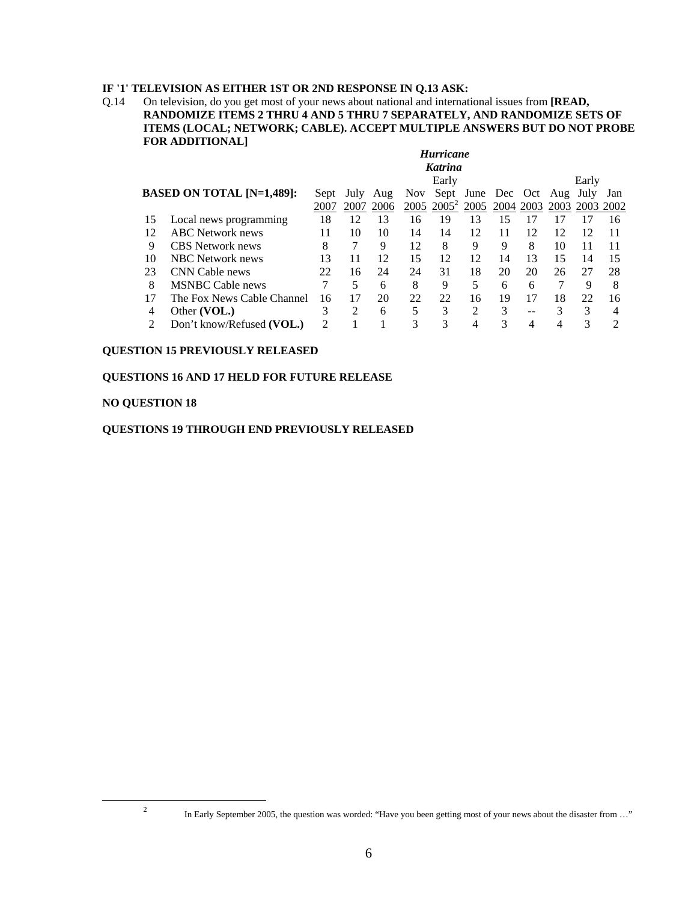# **IF '1' TELEVISION AS EITHER 1ST OR 2ND RESPONSE IN Q.13 ASK:**

Q.14 On television, do you get most of your news about national and international issues from **[READ, RANDOMIZE ITEMS 2 THRU 4 AND 5 THRU 7 SEPARATELY, AND RANDOMIZE SETS OF ITEMS (LOCAL; NETWORK; CABLE). ACCEPT MULTIPLE ANSWERS BUT DO NOT PROBE FOR ADDITIONAL]** 

|    | <b>Hurricane</b>                 |                |      |      |      |          |                            |           |    |      |           |     |
|----|----------------------------------|----------------|------|------|------|----------|----------------------------|-----------|----|------|-----------|-----|
|    | Katrina                          |                |      |      |      |          |                            |           |    |      |           |     |
|    |                                  |                |      |      |      | Early    |                            |           |    |      | Early     |     |
|    | <b>BASED ON TOTAL [N=1,489]:</b> | Sept           | July | Aug  | Nov. |          | Sept June Dec Oct Aug July |           |    |      |           | Jan |
|    |                                  | 2007           | 2007 | 2006 | 2005 | $2005^2$ | 2005                       | 2004 2003 |    | 2003 | 2003 2002 |     |
| 15 | Local news programming           | 18             | 12   | 13   | 16   | 19       | 13                         | 15        |    |      |           | 16  |
| 12 | <b>ABC</b> Network news          | 11             | 10   | 10   | 14   | 14       | 12                         | 11        | 12 | 12   | 12        | 11  |
| 9  | <b>CBS</b> Network news          | 8              |      | 9    | 12   | 8        | 9                          | 9         | 8  | 10   | 11        | 11  |
| 10 | NBC Network news                 | 13             | 11   | 12   | 15   | 12       | 12                         | 14        | 13 | 15   | 14        | 15  |
| 23 | CNN Cable news                   | 22             | 16   | 24   | 24   | 31       | 18                         | 20        | 20 | 26   | 27        | 28  |
| 8  | <b>MSNBC</b> Cable news          |                | 5    | 6    | 8    | 9        | 5                          | 6         | 6  |      | 9         | 8   |
| 17 | The Fox News Cable Channel       | 16             | 17   | 20   | 22   | 22       | 16                         | 19        |    | 18   | 22        | 16  |
| 4  | Other (VOL.)                     | 3              | 2    | 6    | 5    | 3        | $\mathfrak{D}$             | 3         | -- | 3    | 3         |     |
|    | Don't know/Refused (VOL.)        | $\mathfrak{D}$ |      |      | 3    | 3        |                            |           |    |      |           |     |

# **QUESTION 15 PREVIOUSLY RELEASED**

# **QUESTIONS 16 AND 17 HELD FOR FUTURE RELEASE**

## **NO QUESTION 18**

# **QUESTIONS 19 THROUGH END PREVIOUSLY RELEASED**

# $\frac{1}{2}$

<sup>&</sup>lt;sup>2</sup> In Early September 2005, the question was worded: "Have you been getting most of your news about the disaster from ..."